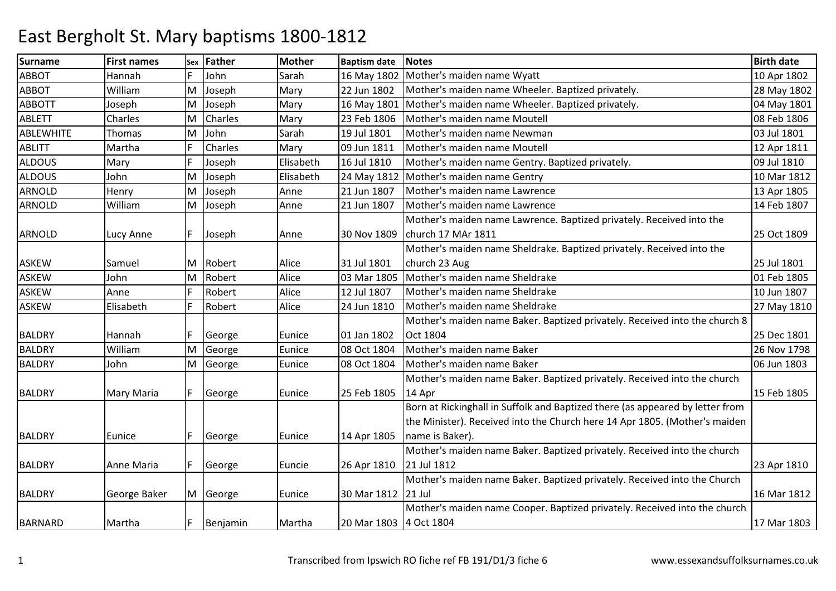| <b>Surname</b>   | <b>First names</b> | Sex | <b>Father</b> | <b>Mother</b> | <b>Baptism date</b>    | <b>Notes</b>                                                                  | <b>Birth date</b> |
|------------------|--------------------|-----|---------------|---------------|------------------------|-------------------------------------------------------------------------------|-------------------|
| <b>ABBOT</b>     | Hannah             | F   | John          | Sarah         | 16 May 1802            | Mother's maiden name Wyatt                                                    | 10 Apr 1802       |
| <b>ABBOT</b>     | William            | M   | Joseph        | Mary          | 22 Jun 1802            | Mother's maiden name Wheeler. Baptized privately.                             | 28 May 1802       |
| <b>ABBOTT</b>    | Joseph             | M   | Joseph        | Mary          | 16 May 1801            | Mother's maiden name Wheeler. Baptized privately.                             | 04 May 1801       |
| <b>ABLETT</b>    | Charles            | M   | Charles       | Mary          | 23 Feb 1806            | Mother's maiden name Moutell                                                  | 08 Feb 1806       |
| <b>ABLEWHITE</b> | Thomas             | M   | John          | Sarah         | 19 Jul 1801            | Mother's maiden name Newman                                                   | 03 Jul 1801       |
| <b>ABLITT</b>    | Martha             | F   | Charles       | Mary          | 09 Jun 1811            | Mother's maiden name Moutell                                                  | 12 Apr 1811       |
| <b>ALDOUS</b>    | Mary               | F   | Joseph        | Elisabeth     | 16 Jul 1810            | Mother's maiden name Gentry. Baptized privately.                              | 09 Jul 1810       |
| <b>ALDOUS</b>    | John               | M   | Joseph        | Elisabeth     | 24 May 1812            | Mother's maiden name Gentry                                                   | 10 Mar 1812       |
| <b>ARNOLD</b>    | Henry              | M   | Joseph        | Anne          | 21 Jun 1807            | Mother's maiden name Lawrence                                                 | 13 Apr 1805       |
| ARNOLD           | William            | M   | Joseph        | Anne          | 21 Jun 1807            | Mother's maiden name Lawrence                                                 | 14 Feb 1807       |
|                  |                    |     |               |               |                        | Mother's maiden name Lawrence. Baptized privately. Received into the          |                   |
| <b>ARNOLD</b>    | Lucy Anne          | F   | Joseph        | Anne          | 30 Nov 1809            | church 17 MAr 1811                                                            | 25 Oct 1809       |
|                  |                    |     |               |               |                        | Mother's maiden name Sheldrake. Baptized privately. Received into the         |                   |
| <b>ASKEW</b>     | Samuel             | M   | Robert        | Alice         | 31 Jul 1801            | church 23 Aug                                                                 | 25 Jul 1801       |
| <b>ASKEW</b>     | John               | M   | Robert        | Alice         | 03 Mar 1805            | Mother's maiden name Sheldrake                                                | 01 Feb 1805       |
| <b>ASKEW</b>     | Anne               |     | Robert        | Alice         | 12 Jul 1807            | Mother's maiden name Sheldrake                                                | 10 Jun 1807       |
| <b>ASKEW</b>     | Elisabeth          | F   | Robert        | Alice         | 24 Jun 1810            | Mother's maiden name Sheldrake                                                | 27 May 1810       |
|                  |                    |     |               |               |                        | Mother's maiden name Baker. Baptized privately. Received into the church 8    |                   |
| <b>BALDRY</b>    | Hannah             | F.  | George        | Eunice        | 01 Jan 1802            | Oct 1804                                                                      | 25 Dec 1801       |
| <b>BALDRY</b>    | William            | M   | George        | Eunice        | 08 Oct 1804            | Mother's maiden name Baker                                                    | 26 Nov 1798       |
| <b>BALDRY</b>    | John               | M   | George        | Eunice        | 08 Oct 1804            | Mother's maiden name Baker                                                    | 06 Jun 1803       |
|                  |                    |     |               |               |                        | Mother's maiden name Baker. Baptized privately. Received into the church      |                   |
| <b>BALDRY</b>    | Mary Maria         | IF. | George        | Eunice        | 25 Feb 1805            | 14 Apr                                                                        | 15 Feb 1805       |
|                  |                    |     |               |               |                        | Born at Rickinghall in Suffolk and Baptized there (as appeared by letter from |                   |
|                  |                    |     |               |               |                        | the Minister). Received into the Church here 14 Apr 1805. (Mother's maiden    |                   |
| <b>BALDRY</b>    | Eunice             | F   | George        | Eunice        | 14 Apr 1805            | name is Baker).                                                               |                   |
|                  |                    |     |               |               |                        | Mother's maiden name Baker. Baptized privately. Received into the church      |                   |
| <b>BALDRY</b>    | Anne Maria         | IF. | George        | Euncie        | 26 Apr 1810            | 21 Jul 1812                                                                   | 23 Apr 1810       |
|                  |                    |     |               |               |                        | Mother's maiden name Baker. Baptized privately. Received into the Church      |                   |
| <b>BALDRY</b>    | George Baker       |     | M George      | Eunice        | 30 Mar 1812 21 Jul     |                                                                               | 16 Mar 1812       |
|                  |                    |     |               |               |                        | Mother's maiden name Cooper. Baptized privately. Received into the church     |                   |
| <b>BARNARD</b>   | Martha             | F   | Benjamin      | Martha        | 20 Mar 1803 4 Oct 1804 |                                                                               | 17 Mar 1803       |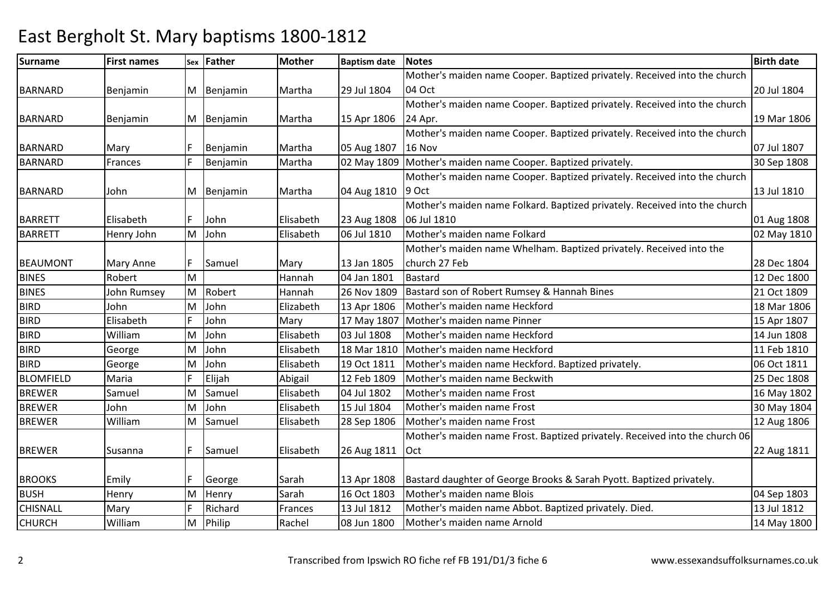#### Surnamee First names Sex Father Mother Baptism date Notes Birth date Birth date BARNARD Benjamin M Benjamin Martha 29 Jul 1804Mother's maiden name Cooper. Baptized privately. Received into the church 04 Oct 20 Jul 1804BARNARD Benjamin | M Benjamin | Martha Mother's maiden name Cooper. Baptized privately. Received into the church 15 Apr 1806 24 Apr. 19 Mar 1806BARNARD Mary F Benjamin Martha 05 Aug 1807D Frances F Benjamin Martha 02 May 1809 Mother's maiden name Cooper. Baptized privately. 30 Sep 1808 Mother's maiden name Cooper. Baptized privately. Received into the church **16 Nov**  07 Jul 180730 Sep 1808 BARNARDBARNARD John M Benjamin Martha 04 Aug 18109 OctMother's maiden name Cooper. Baptized privately. Received into the church 13 Jul 1810BARRETT Elisabeth F John Elisabeth 23 Aug 180806 Jul 1810 Mother's maiden name Folkard. Baptized privately. Received into the church 06 Jul 181006 Jul 1810 01 Aug 1808<br>Mother's maiden name Folkard 02 May 1810 02 May 1810 BARRETT Henry JohnM John John Elisabeth 06 Jul 1810 Mother's maiden name Folkard 02 May 1810 Mother's maiden name Whelham. Baptized privately. Received into the BEAUMONT Mary Anne F Samuel Mary 13 Jan 1805 04 Jan 1801 church 27 Febb 28 Dec 1804 12 Dec 1800 BINES Robert M Hannah 04 Jan 1801 Bastard 12 Dec 1800 BINES John Rumsey MRobert Hannah 26 Nov 1809 Bastard son of Robert Rumsey & Hannah Bines 21 Oct 1809 Robert Rumsey & Hannah Bines<br>John Elizabeth 13 Apr 1806 Mother's maiden name Heckford 18 Mar 1806 BIRDJohn<br>Elisabeth MJohn 13 Apr 1806 Mother's maiden name Heckford<br>John Mary 17 May 1807 Mother's maiden name Pinner 18 Mar 1807 18 Apr 1807 BIRDD Proposed Elisabeth F John Mary 17 May 1807 Mother's maiden name Pinner 1980 and the settlement of the 1807 Mother's maiden name Pinner 1980 and the 1980 and the 1807 Mother's maiden name Pinner 1980 and the 1980 and the BIRD WilliamD George M John Elisabeth 03 Jul 1808 Mother's maiden name Heckford 14 Jun 1808 BIRDMJohn 18 Elisabeth 18 Mar 1810 Mother's maiden name Heckford<br>John Elisabeth 19 Oct 1811 Mother's maiden name Heckford. Baptized privately. 19 Oct 1811 16 Oct 1811 **BIRD** George<br>Maria MJohn 19 Elisabeth 19 Oct 1811 Mother's maiden name Heckford. Baptized privately.<br>Elijah 12 Feb 1809 Mother's maiden name Beckwith 125 Dec 1808 BLOMFIELD Maria <sup>F</sup> Elijah Abigail 12 Feb 1809 Mother's maiden name Beckwith 25 Dec 1808 BREWER Samuel M Samuel Elisabeth 04 Jul 1802 Mother's maiden name Frost 16 May 1802 **BREWER**  John M John Elisabeth 15 Jul 1804 Mother's maiden name Frost 30 May 1804 BREWER WilliamMM Samuel 12 Aug 1806 Mother's maiden name Frost<br>Mother's maiden name Frost. Baptized privately. Received into the church 06 BREWER Susanna F Samuel Elisabeth 26 Aug 1811Oct 22 Aug 1811BROOKS Emily F George Sarah 13 Apr 1808 13 Apr 1808 Bastard daughter of George Brooks & Sarah Pyott. Baptized privately.<br>16 Oct 1803 Mother's maiden name Blois BUSH**Henry** MM Henry Sarah 16 Oct 1803 Mother's maiden name Blois 1803 04 Sep 1803<br>En Birth Links Land Land Land Land Methematics assistances Abbat Particularistiche Piedro 1804 1804 1804 2014 CHISNALL Mary**Richard** d Frances 13 Jul 1812 Mother's maiden name Abbot. Baptized privately. Died. 13 Jul 1812 CHURCH WilliamM Philip M Philip 14 May 1800 Rachel 198 Jun 1800 Mother's maiden name Arnold 14 May 1800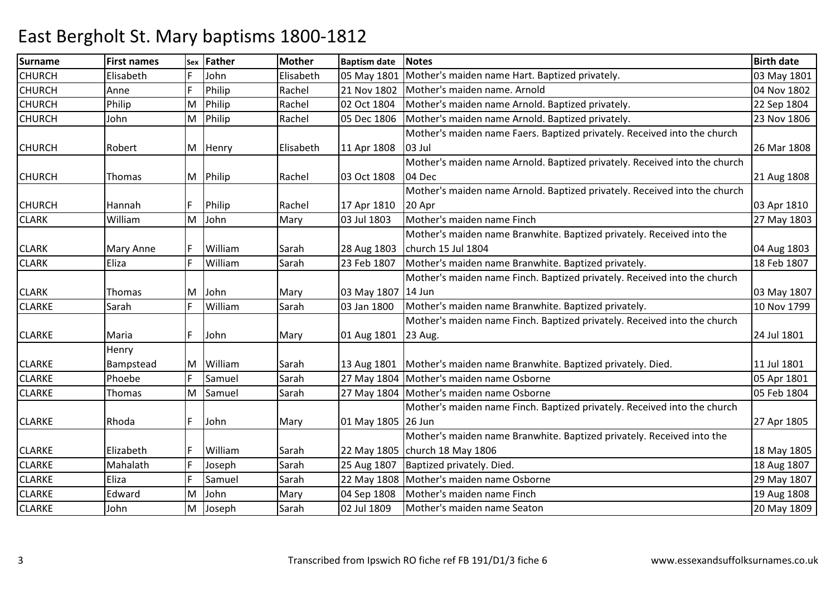| <b>Surname</b> | <b>First names</b> | Sex | <b>Father</b> | <b>Mother</b> | <b>Baptism date</b> | <b>Notes</b>                                                              | <b>Birth date</b> |
|----------------|--------------------|-----|---------------|---------------|---------------------|---------------------------------------------------------------------------|-------------------|
| <b>CHURCH</b>  | Elisabeth          | F   | John          | Elisabeth     | 05 May 1801         | Mother's maiden name Hart. Baptized privately.                            | 03 May 1801       |
| <b>CHURCH</b>  | Anne               | F   | Philip        | Rachel        | 21 Nov 1802         | Mother's maiden name. Arnold                                              | 04 Nov 1802       |
| <b>CHURCH</b>  | Philip             | M   | Philip        | Rachel        | 02 Oct 1804         | Mother's maiden name Arnold. Baptized privately.                          | 22 Sep 1804       |
| <b>CHURCH</b>  | John               | M   | Philip        | Rachel        | 05 Dec 1806         | Mother's maiden name Arnold. Baptized privately.                          | 23 Nov 1806       |
|                |                    |     |               |               |                     | Mother's maiden name Faers. Baptized privately. Received into the church  |                   |
| <b>CHURCH</b>  | Robert             | M   | Henry         | Elisabeth     | 11 Apr 1808         | 03 Jul                                                                    | 26 Mar 1808       |
|                |                    |     |               |               |                     | Mother's maiden name Arnold. Baptized privately. Received into the church |                   |
| <b>CHURCH</b>  | Thomas             | M   | Philip        | Rachel        | 03 Oct 1808         | 04 Dec                                                                    | 21 Aug 1808       |
|                |                    |     |               |               |                     | Mother's maiden name Arnold. Baptized privately. Received into the church |                   |
| <b>CHURCH</b>  | Hannah             | IF. | Philip        | Rachel        | 17 Apr 1810         | 20 Apr                                                                    | 03 Apr 1810       |
| <b>CLARK</b>   | William            | M   | John          | Mary          | 03 Jul 1803         | Mother's maiden name Finch                                                | 27 May 1803       |
|                |                    |     |               |               |                     | Mother's maiden name Branwhite. Baptized privately. Received into the     |                   |
| <b>CLARK</b>   | Mary Anne          | IF. | William       | Sarah         | 28 Aug 1803         | church 15 Jul 1804                                                        | 04 Aug 1803       |
| <b>CLARK</b>   | Eliza              | F   | William       | Sarah         | 23 Feb 1807         | Mother's maiden name Branwhite. Baptized privately.                       | 18 Feb 1807       |
|                |                    |     |               |               |                     | Mother's maiden name Finch. Baptized privately. Received into the church  |                   |
| <b>CLARK</b>   | Thomas             | M   | John          | Mary          | 03 May 1807         | 14 Jun                                                                    | 03 May 1807       |
| <b>CLARKE</b>  | Sarah              | F   | William       | Sarah         | 03 Jan 1800         | Mother's maiden name Branwhite. Baptized privately.                       | 10 Nov 1799       |
|                |                    |     |               |               |                     | Mother's maiden name Finch. Baptized privately. Received into the church  |                   |
| <b>CLARKE</b>  | Maria              | F   | John          | Mary          | 01 Aug 1801         | 23 Aug.                                                                   | 24 Jul 1801       |
|                | Henry              |     |               |               |                     |                                                                           |                   |
| <b>CLARKE</b>  | Bampstead          | M   | William       | Sarah         | 13 Aug 1801         | Mother's maiden name Branwhite. Baptized privately. Died.                 | 11 Jul 1801       |
| <b>CLARKE</b>  | Phoebe             | F   | Samuel        | Sarah         | 27 May 1804         | Mother's maiden name Osborne                                              | 05 Apr 1801       |
| <b>CLARKE</b>  | Thomas             | M   | Samuel        | Sarah         |                     | 27 May 1804 Mother's maiden name Osborne                                  | 05 Feb 1804       |
|                |                    |     |               |               |                     | Mother's maiden name Finch. Baptized privately. Received into the church  |                   |
| <b>CLARKE</b>  | Rhoda              | IF. | John          | Mary          | 01 May 1805 26 Jun  |                                                                           | 27 Apr 1805       |
|                |                    |     |               |               |                     | Mother's maiden name Branwhite. Baptized privately. Received into the     |                   |
| <b>CLARKE</b>  | Elizabeth          | IF. | William       | Sarah         |                     | 22 May 1805 church 18 May 1806                                            | 18 May 1805       |
| <b>CLARKE</b>  | Mahalath           | F   | Joseph        | Sarah         | 25 Aug 1807         | Baptized privately. Died.                                                 | 18 Aug 1807       |
| <b>CLARKE</b>  | Eliza              | F   | Samuel        | Sarah         | 22 May 1808         | Mother's maiden name Osborne                                              | 29 May 1807       |
| <b>CLARKE</b>  | Edward             | M   | John          | Mary          | 04 Sep 1808         | Mother's maiden name Finch                                                | 19 Aug 1808       |
| <b>CLARKE</b>  | John               | M   | Joseph        | Sarah         | 02 Jul 1809         | Mother's maiden name Seaton                                               | 20 May 1809       |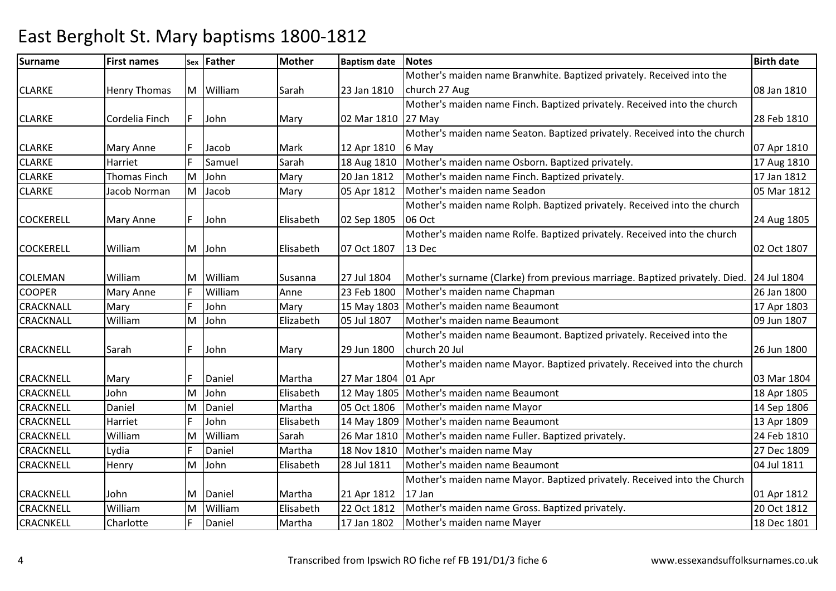### Surnamee First names Sex Father Mother Baptism date Notes Birth date Birth date CLARKE Henry Thomas M William Sarah 23 Jan 1810Mother's maiden name Branwhite. Baptized privately. Received into the church 27 Aug 08 Jan 1810CLARKE Cordelia Finch F John Mary 02 Mar 181027 MayMother's maiden name Finch. Baptized privately. Received into the church 28 Feb 1810CLARKE Mary Anne F Jacob Mark 12 Apr 18106 May18 Aug 1810 Mother's maiden name Seaton. Baptized privately. Received into the church 07 Apr 181017 Aug 1810 CLARKEE Harriet FSamuel Sarah Sarah 18 Aug 1810 Mother's maiden name Osborn. Baptized privately.<br>19 Mary 120 Jan 1812 Mother's maiden name Finch. Baptized privately. CLARKE Thomas FinchE Jacob Norman MJohn Mary 20 Jan 1812 Mother's maiden name Finch. Baptized privately. 17 Jan 1812<br>Jacob Mary 05 Apr 1812 Mother's maiden name Seadon (05 Mar 1812) CLARKEMM |Jacob | Mary | 05 Apr 1812 | Mother's maiden name Seadon | 05 Mar 1812<br>Mother's maiden name Rolph. Baptized privately. Received into the church | Mother's maiden name Rolph. Baptized privately. Received into the church COCKERELL Mary Anne F John Elisabeth 02 Sep 180506 Oct 24 Aug 1805COCKERELL William M John Elisabeth 07 Oct 1807Mother's maiden name Rolfe. Baptized privately. Received into the church 13 Decc 02 Oct 1807 COLEMAN William M William Susanna 27 Jul 1804 Mother's surname (Clarke) from previous marriage. Baptized privately. Died. 24 Jul 1804 COOPERMary Anne F William m Anne 23 Feb 1800 Mother's maiden name Chapman 20 Jan 1800 26 Jan 1800 26 Jan 1800<br>26 Jan 1800 26 Jan 1800 2012 2020 2021 2021 2022 2023 2024 2022 2023 2024 2022 2023 2024 2022 2023 2024 2022 20 CRACKNALL MaryJohn n 17 Mary 15 May 1803 Mother's maiden name Beaumont 1803 CRACKNALL WilliamM John Elizabeth 05 Jul 1807 Mother's maiden name Beaumont 09 Jun 1807 Mother's maiden name Beaumont. Baptized privately. Received into the CRACKNELL Sarah F John Mary 29 Jun 1800church 20 Jul 26 Jun 1800CRACKNELL Mary F Daniel Martha 27 Mar 180401 AprM John 18 Apr 1805 Mother's maiden name Beaumont 19 Apr 1805 18 Apr 1805 Mother's maiden name Beaumont 18 Apr 1805 18 Apr 1805 18 Apr 1805 18 Apr 1805 18 Apr 1805 18 Apr 1805 18 Apr 1805 18 Apr 1805 18 Apr 1805 18 Apr 1805 Mother's maiden name Mayor. Baptized privately. Received into the church 03 Mar 180418 Apr 1805 **CRACKNELL**  JohnL Daniel M**CRACKNELL** MDaniel Martha 05 Oct 1806 Mother's maiden name Mayor 1806 1806<br>John Elisabeth 14 May 1809 Mother's maiden name Beaumont 13 Apr 1809 CRACKNELLHarriet JohnJohn 13 Apr 1809 Mother's maiden name Beaumont<br>
26 Mar 1810 Mother's maiden name Fuller. Baptized privately. 13 Apr 1809 Villiam Sarah 13 Apr 1809 CRACKNELL WilliamMWilliam Sarah 26 Mar 1810 Mother's maiden name Fuller. Baptized privately. 24 Feb 1810<br>Daniel Martha 18 Nov 1810 Mother's maiden name May 27 Dec 1809 **CRACKNELL**  Lydiaa 1991 - F Paniel Martha 18 Nov 1810 Mother's maiden name May 27 November 27 Dec 1809 **CRACKNELL**  HenryMM |John | Elisabeth | 28 Jul 1811 | Mother's maiden name Beaumont | | 04 Jul 1811<br>| Mother's maiden name Mayor. Baptized privately. Received into the Church | Northerly | Mother's maiden name Mayor. Baptized privately. Rec CRACKNELL John M Daniel Martha 21 Apr 181217 Jan22 Oct 1812 01 Apr 181220 Oct 1812 **CRACKNELL**  WilliamL Charlotte MWilliam Elisabeth 22 Oct 1812 Mother's maiden name Gross. Baptized privately. 20 Oct 1812<br>Daniel Martha 17 Jan 1802 Mother's maiden name Maver CRACNKELL**17 Jan 1802** Mother's maiden name Mayer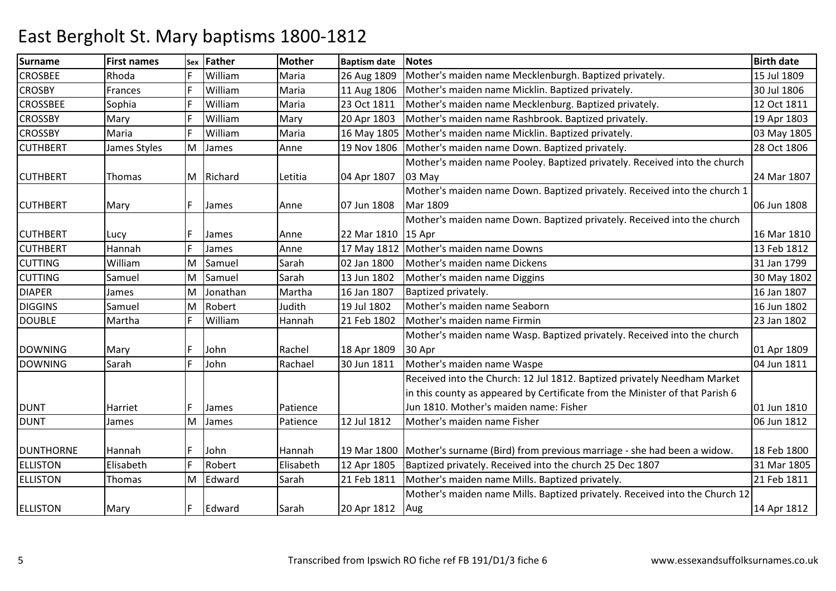| <b>Surname</b>   | <b>First names</b> | Sex | <b>Father</b> | <b>Mother</b> | <b>Baptism date</b> | <b>Notes</b>                                                                 | <b>Birth date</b> |
|------------------|--------------------|-----|---------------|---------------|---------------------|------------------------------------------------------------------------------|-------------------|
| <b>CROSBEE</b>   | Rhoda              |     | William       | Maria         | 26 Aug 1809         | Mother's maiden name Mecklenburgh. Baptized privately.                       | 15 Jul 1809       |
| <b>CROSBY</b>    | Frances            | F   | William       | Maria         | 11 Aug 1806         | Mother's maiden name Micklin. Baptized privately.                            | 30 Jul 1806       |
| <b>CROSSBEE</b>  | Sophia             |     | William       | Maria         | 23 Oct 1811         | Mother's maiden name Mecklenburg. Baptized privately.                        | 12 Oct 1811       |
| <b>CROSSBY</b>   | Mary               | F   | William       | Mary          | 20 Apr 1803         | Mother's maiden name Rashbrook. Baptized privately.                          | 19 Apr 1803       |
| <b>CROSSBY</b>   | Maria              | F   | William       | Maria         | 16 May 1805         | Mother's maiden name Micklin. Baptized privately.                            | 03 May 1805       |
| <b>CUTHBERT</b>  | James Styles       | M   | James         | Anne          | 19 Nov 1806         | Mother's maiden name Down. Baptized privately.                               | 28 Oct 1806       |
|                  |                    |     |               |               |                     | Mother's maiden name Pooley. Baptized privately. Received into the church    |                   |
| <b>CUTHBERT</b>  | Thomas             | M   | Richard       | Letitia       | 04 Apr 1807         | 03 May                                                                       | 24 Mar 1807       |
|                  |                    |     |               |               |                     | Mother's maiden name Down. Baptized privately. Received into the church 1    |                   |
| <b>CUTHBERT</b>  | Mary               | IF. | James         | Anne          | 07 Jun 1808         | Mar 1809                                                                     | 06 Jun 1808       |
|                  |                    |     |               |               |                     | Mother's maiden name Down. Baptized privately. Received into the church      |                   |
| <b>CUTHBERT</b>  | Lucy               |     | James         | Anne          | 22 Mar 1810         | 15 Apr                                                                       | 16 Mar 1810       |
| <b>CUTHBERT</b>  | Hannah             | lF. | James         | Anne          | 17 May 1812         | Mother's maiden name Downs                                                   | 13 Feb 1812       |
| <b>CUTTING</b>   | William            | M   | Samuel        | Sarah         | 02 Jan 1800         | Mother's maiden name Dickens                                                 | 31 Jan 1799       |
| <b>CUTTING</b>   | Samuel             | M   | Samuel        | Sarah         | 13 Jun 1802         | Mother's maiden name Diggins                                                 | 30 May 1802       |
| <b>DIAPER</b>    | James              | M   | Jonathan      | Martha        | 16 Jan 1807         | Baptized privately.                                                          | 16 Jan 1807       |
| <b>DIGGINS</b>   | Samuel             | M   | Robert        | Judith        | 19 Jul 1802         | Mother's maiden name Seaborn                                                 | 16 Jun 1802       |
| <b>DOUBLE</b>    | Martha             |     | William       | Hannah        | 21 Feb 1802         | Mother's maiden name Firmin                                                  | 23 Jan 1802       |
|                  |                    |     |               |               |                     | Mother's maiden name Wasp. Baptized privately. Received into the church      |                   |
| <b>DOWNING</b>   | Mary               | IF  | John          | Rachel        | 18 Apr 1809         | 30 Apr                                                                       | 01 Apr 1809       |
| <b>DOWNING</b>   | Sarah              |     | John          | Rachael       | 30 Jun 1811         | Mother's maiden name Waspe                                                   | 04 Jun 1811       |
|                  |                    |     |               |               |                     | Received into the Church: 12 Jul 1812. Baptized privately Needham Market     |                   |
|                  |                    |     |               |               |                     | in this county as appeared by Certificate from the Minister of that Parish 6 |                   |
| <b>DUNT</b>      | Harriet            | IF  | James         | Patience      |                     | Jun 1810. Mother's maiden name: Fisher                                       | 01 Jun 1810       |
| <b>DUNT</b>      | James              | lM. | James         | Patience      | 12 Jul 1812         | Mother's maiden name Fisher                                                  | 06 Jun 1812       |
|                  |                    |     |               |               |                     |                                                                              |                   |
| <b>DUNTHORNE</b> | Hannah             | IF. | John          | Hannah        | 19 Mar 1800         | Mother's surname (Bird) from previous marriage - she had been a widow.       | 18 Feb 1800       |
| <b>ELLISTON</b>  | Elisabeth          | IF. | Robert        | Elisabeth     | 12 Apr 1805         | Baptized privately. Received into the church 25 Dec 1807                     | 31 Mar 1805       |
| <b>ELLISTON</b>  | Thomas             | M   | Edward        | Sarah         | 21 Feb 1811         | Mother's maiden name Mills. Baptized privately.                              | 21 Feb 1811       |
|                  |                    |     |               |               |                     | Mother's maiden name Mills. Baptized privately. Received into the Church 12  |                   |
| <b>ELLISTON</b>  | Mary               | F   | Edward        | Sarah         | 20 Apr 1812         | Aug                                                                          | 14 Apr 1812       |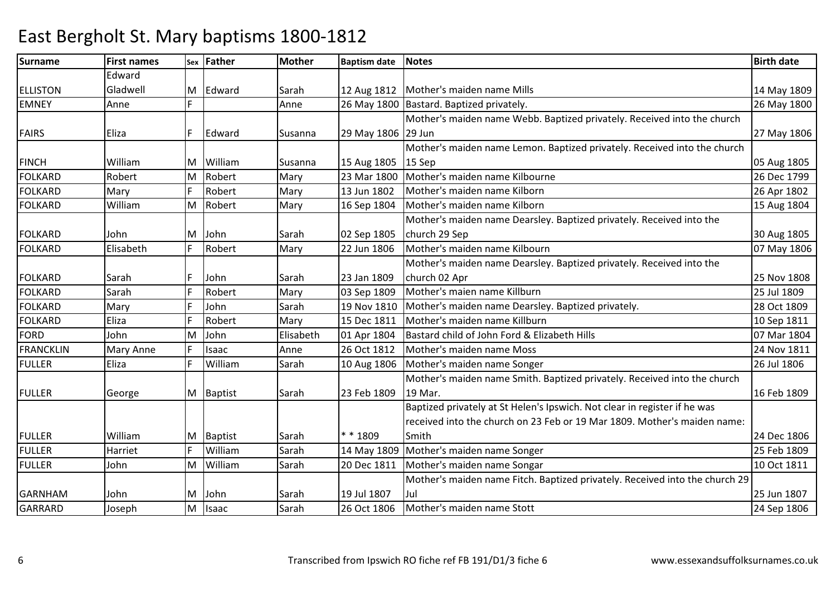### Surnamee First names Sex Father Mother Baptism date Notes Birth date Birth date **FLUSTON** Edward Gladwell M Edward Sarah 12 Aug 1812 Mother's maiden name Mills 14 May 1809 EMNEY Annee Fig. 1800 Fig. 26 May 1800 Bastard. Baptized privately. 26 May 1800 Pastard. Baptized privately. FAIRS Eliza F Edward Susanna 29 May 180629 JunMother's maiden name Webb. Baptized privately. Received into the church 27 May 1806FINCH William M William Susanna 15 Aug 180515 Sep Robert Mary 23 Mar 1800 Mother's maiden name Kilbourne 26 Dec 1799 Mother's maiden name Lemon. Baptized privately. Received into the church p 05 Aug 1805 26 Dec 1799 FOLKARDRobert<br>Marv MFOLKARDD Mary F Robert Mary 13 Jun 1802 Mother's maiden name Kilborn 26 Apr 1802 FOLKARD WilliamMM Robert Mary 16 Sep 1804 Mother's maiden name Kilborn 15 Aug 1804<br>Mother's maiden name Dearsley. Baptized privately. Received into the FOLKARD John JM John Sarah 02 Sep 1805 22 Jun 1806 church 29 Sep 30 Aug 180507 May 1806 FOLKARD Elisabeth <sup>F</sup> Robert Mary 22 Jun 1806 Mother's maiden name Kilbourn 07 May 1806 FOLKARD Sarah F John Sarah 23 Jan 180903 Sep 1809 Mother's maiden name Dearsley. Baptized privately. Received into the church 02 Apr 25 Nov 1808FOLKARDD Sarah F Robert Mary 03 Sep 1809 Mother's maien name Killburn 25 Jul 1809 FOLKARDMary F John Sarah 19 Nov 1810 Mother's maiden name Dearsley. Baptized privately. 28 Oct 1809<br>Eliza F Robert Mary 15 Dec 1811 Mother's maiden name Killburn FOLKARDRobert Mary 15 Dec 1811 Mother's maiden name Killburn<br>John Elisabeth 01 Apr 1804 Bastard child of John Ford & Elizabeth Hills 07 Mar 1804 **FORD** John<br>Mary Anne M John Elisabeth 01 Apr 1804 Bastard child of John Ford & Elizabeth Hills 07 Mar 1804 FRANCKLINN Mary Anne F Isaac Anne 26 Oct 1812 Mother's maiden name Moss 24 Nov 1811 FULLEREliza | F | William Sarah 10 Aug 1806 Mother's maiden name Songer 26 Jul 1806 Mother's maiden name Smith. Baptized privately. Received into the church FULLER George M Baptist Sarah 23 Feb 180919 Mar. 16 Feb 1809FULLER William M Baptist Sarah \* \* 1809m Sarah 14 May 1809 Mother's maiden name Songer 25 Feb 1809 25 Feb 1809 Baptized privately at St Helen's Ipswich. Not clear in register if he was received into the church on 23 Feb or 19 Mar 1809. Mother's maiden name: Smith 24 Dec 180625 Feb 1809 FULLERR Harriet F William FULLER John MM | William | Sarah | 20 Dec 1811 | Mother's maiden name Songar | 10 Oct 1811 | 10 Oct 1811<br>Mother's maiden name Fitch. Baptized privately. Received into the church 29 GARNHAM John M John Sarah 19 Jul 180726 Oct 1806 Jul 25 Jun 180724 Sep 1806 GARRARD Joseph MIsaac Sarah 26 Oct 1806 Mother's maiden name Stott 24 Sep 1806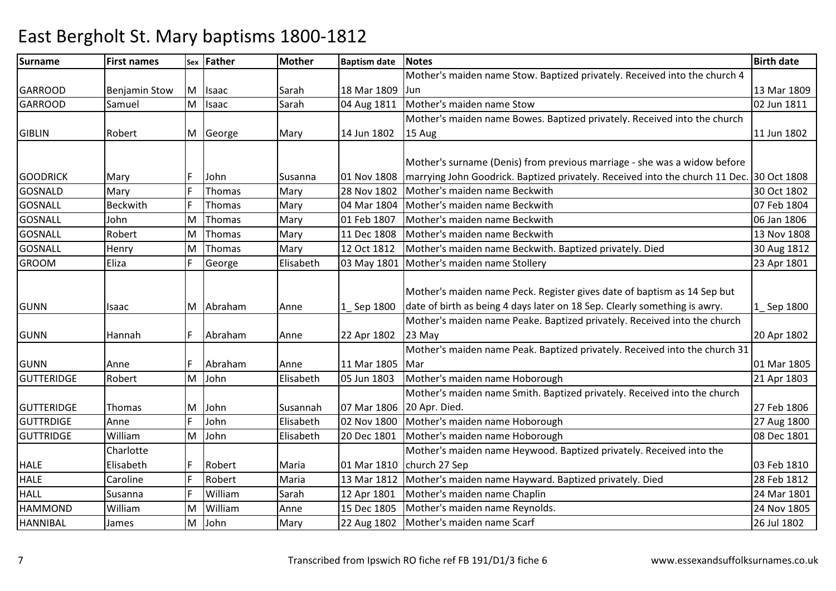### Surnamee First names Sex Father Mother Baptism date Notes Birth date Birth date GARROOD Benjamin Stow M Isaac Sarah 18 Mar 1809 04 Aug 1811 Mother's maiden name Stow. Baptized privately. Received into the church 4 Junn 13 Mar 1809 02 Jun 1811 GARROOD Samuel M Isaac Sarah 04 Aug 1811 Mother's maiden name Stow 02 Jun 1811 Mother's maiden name Bowes. Baptized privately. Received into the church GIBLIN | Robert | M George | Mary | 14 Jun 1802 15 Aug 11 Jun 1802GOODRICK | Mary | F | John | Susanna | 01 Nov 1808 28 Nov 1802 Mother's surname (Denis) from previous marriage - she was a widow before marrying John Goodrick. Baptized privately. Received into the church 11 Dec. 30 Oct 180830 Oct 1802 GOSNALDMary 19th Thomas Mary 28 Nov 1802 Mother's maiden name Beckwith 1991 1802<br>1900: Beckwith Finomas Mary 04 Mar 1804 Mother's maiden name Beckwith GOSNALL BeckwithThomas Mary 104 Mar 1804 Mother's maiden name Beckwith 1988 1804<br>Thomas Mary 101 Feb 1807 Mother's maiden name Beckwith GOSNALL JohnL Robert MThomas Mary 01 Feb 1807 Mother's maiden name Beckwith 1994 1806 1808 Mother's maiden name Beckwith 1995 1808 1808<br>Thomas Mary 11 Dec 1808 Mother's maiden name Beckwith 13 Nov 1808 GOSNALLMM Thomas Mary 11 Dec 1808 Mother's maiden name Beckwith 13 Nov 1808<br>Mary 13 Nov 1808 1809 1804 1912 Methemane Beckwith Dartia demonstrate Diad GOSNALL**Henry** MThomas Mary 12 Oct 1812 Mother's maiden name Beckwith. Baptized privately. Died 1812<br>George Elisabeth 03 May 1801 Mother's maiden name Stollery 1999 March 1801 GROOMEliza F George **Elisabeth 03 May 1801 Mother's maiden name Stollery** GUNN Isaac M |Abraham |Anne 1\_\_ Sep 1800 |date of birth as being 4 days later on 18 Sep. Clearly something is awry. Mother's maiden name Peck. Register gives date of baptism as 14 Sep but 1\_ Sep 1800GUNN Hannah F Abraham Anne 22 Apr 180223 MayMother's maiden name Peake. Baptized privately. Received into the church 20 Apr 1802GUNN Anne F Abraham Anne 11 Mar 1805Mar05 Jun 1803 Mother's maiden name Peak. Baptized privately. Received into the church 31 r 1995 - 1996 - 1997 - 1998 - 1999 - 1999 - 1999 - 1999 - 1999 - 1999 - 1999 - 1999 - 1999 - 1999 - 1999 - 199 21 Apr 1803 **GUTTERIDGE**  Robert MJohn Elisabeth 105 Jun 1803 Mother's maiden name Hoborough GUTTERIDGE |Thomas |M |John |Susannah |07 Mar 1806 |20 Apr. Died. 02 Nov 1800 Mother's maiden name Smith. Baptized privately. Received into the church 27 Feb 180627 Aug 1800 GUTTRDIGE AnneJohn Sohn 1992 Elisabeth 192 Nov 1800 Mother's maiden name Hoborough 1988 and 1800 John 27 Aug 1800<br>John 1983 Elisabeth 20 Dec 1801 Mother's maiden name Hoborough 1989 1994 1801 **GUTTRIDGE**  William Charlotte M John Elisabeth 20 Dec 1801 Mother's maiden name Hoborough 08 Dec 1801 Mother's maiden name Heywood. Baptized privately. Received into the HALE HALEElisabethh F |Robert Maria 01 Mar 1810 church 27 Sep e FRobert Maria 13 Mar 1812 Mother's maiden name Hayward. Baptized privately. Died 28 Feb 1812 03 Feb 181028 Feb 1812 CarolineHALL SusannaWilliam<br>William Sarah 12 Apr 1801 Mother's maiden name Chaplin<br>Anne 15 Dec 1805 Mother's maiden name Reynolds. 24 Nov 1805 HAMMOND William James MWilliam Manne 15 Dec 1805 Mother's maiden name Reynolds.<br>
John Mary 22 Aug 1802 Mother's maiden name Scarf 26 Jul 1802 HANNIBALMJohn Mary 22 Aug 1802 Mother's maiden name Scarf 26 Jul 1802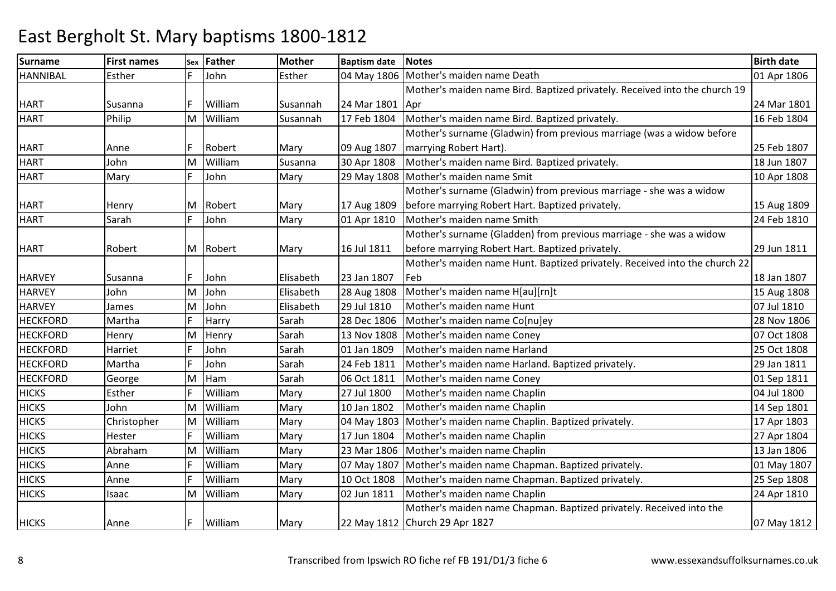| <b>Surname</b>  | <b>First names</b> | Sex | Father  | <b>Mother</b> | <b>Baptism date</b> | Notes                                                                      | <b>Birth date</b> |
|-----------------|--------------------|-----|---------|---------------|---------------------|----------------------------------------------------------------------------|-------------------|
| <b>HANNIBAL</b> | Esther             | F.  | John    | Esther        |                     | 04 May 1806   Mother's maiden name Death                                   | 01 Apr 1806       |
|                 |                    |     |         |               |                     | Mother's maiden name Bird. Baptized privately. Received into the church 19 |                   |
| <b>HART</b>     | Susanna            | F   | William | Susannah      | 24 Mar 1801 Apr     |                                                                            | 24 Mar 1801       |
| <b>HART</b>     | Philip             | M   | William | Susannah      | 17 Feb 1804         | Mother's maiden name Bird. Baptized privately.                             | 16 Feb 1804       |
|                 |                    |     |         |               |                     | Mother's surname (Gladwin) from previous marriage (was a widow before      |                   |
| <b>HART</b>     | Anne               | F   | Robert  | Mary          | 09 Aug 1807         | marrying Robert Hart).                                                     | 25 Feb 1807       |
| <b>HART</b>     | John               | M   | William | Susanna       | 30 Apr 1808         | Mother's maiden name Bird. Baptized privately.                             | 18 Jun 1807       |
| <b>HART</b>     | Mary               |     | John    | Mary          |                     | 29 May 1808   Mother's maiden name Smit                                    | 10 Apr 1808       |
|                 |                    |     |         |               |                     | Mother's surname (Gladwin) from previous marriage - she was a widow        |                   |
| <b>HART</b>     | Henry              | M   | Robert  | Mary          | 17 Aug 1809         | before marrying Robert Hart. Baptized privately.                           | 15 Aug 1809       |
| <b>HART</b>     | Sarah              | F.  | John    | Mary          | 01 Apr 1810         | Mother's maiden name Smith                                                 | 24 Feb 1810       |
|                 |                    |     |         |               |                     | Mother's surname (Gladden) from previous marriage - she was a widow        |                   |
| <b>HART</b>     | Robert             | M   | Robert  | Mary          | 16 Jul 1811         | before marrying Robert Hart. Baptized privately.                           | 29 Jun 1811       |
|                 |                    |     |         |               |                     | Mother's maiden name Hunt. Baptized privately. Received into the church 22 |                   |
| <b>HARVEY</b>   | Susanna            | F.  | John    | Elisabeth     | 23 Jan 1807         | Feb                                                                        | 18 Jan 1807       |
| <b>HARVEY</b>   | John               | M   | John    | Elisabeth     | 28 Aug 1808         | Mother's maiden name H[au][rn]t                                            | 15 Aug 1808       |
| <b>HARVEY</b>   | James              | M   | John    | Elisabeth     | 29 Jul 1810         | Mother's maiden name Hunt                                                  | 07 Jul 1810       |
| <b>HECKFORD</b> | Martha             | F   | Harry   | Sarah         | 28 Dec 1806         | Mother's maiden name Co[nu]ey                                              | 28 Nov 1806       |
| <b>HECKFORD</b> | Henry              | M   | Henry   | Sarah         | 13 Nov 1808         | Mother's maiden name Coney                                                 | 07 Oct 1808       |
| <b>HECKFORD</b> | Harriet            | F   | John    | Sarah         | 01 Jan 1809         | Mother's maiden name Harland                                               | 25 Oct 1808       |
| <b>HECKFORD</b> | Martha             | F.  | John    | Sarah         | 24 Feb 1811         | Mother's maiden name Harland. Baptized privately.                          | 29 Jan 1811       |
| <b>HECKFORD</b> | George             | M   | Ham     | Sarah         | 06 Oct 1811         | Mother's maiden name Coney                                                 | 01 Sep 1811       |
| <b>HICKS</b>    | Esther             |     | William | Mary          | 27 Jul 1800         | Mother's maiden name Chaplin                                               | 04 Jul 1800       |
| <b>HICKS</b>    | John               | M   | William | Mary          | 10 Jan 1802         | Mother's maiden name Chaplin                                               | 14 Sep 1801       |
| <b>HICKS</b>    | Christopher        | M   | William | Mary          | 04 May 1803         | Mother's maiden name Chaplin. Baptized privately.                          | 17 Apr 1803       |
| <b>HICKS</b>    | Hester             |     | William | Mary          | 17 Jun 1804         | Mother's maiden name Chaplin                                               | 27 Apr 1804       |
| <b>HICKS</b>    | Abraham            | M   | William | Mary          | 23 Mar 1806         | Mother's maiden name Chaplin                                               | 13 Jan 1806       |
| <b>HICKS</b>    | Anne               | F   | William | Mary          | 07 May 1807         | Mother's maiden name Chapman. Baptized privately.                          | 01 May 1807       |
| <b>HICKS</b>    | Anne               | F   | William | Mary          | 10 Oct 1808         | Mother's maiden name Chapman. Baptized privately.                          | 25 Sep 1808       |
| <b>HICKS</b>    | Isaac              | M   | William | Mary          | 02 Jun 1811         | Mother's maiden name Chaplin                                               | 24 Apr 1810       |
|                 |                    |     |         |               |                     | Mother's maiden name Chapman. Baptized privately. Received into the        |                   |
| <b>HICKS</b>    | Anne               | F   | William | Mary          |                     | 22 May 1812 Church 29 Apr 1827                                             | 07 May 1812       |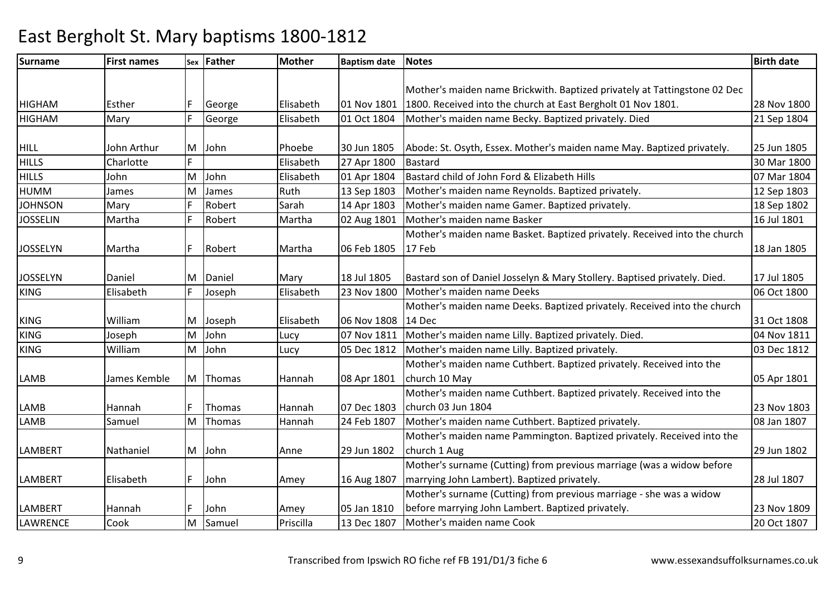| <b>Surname</b>  | <b>First names</b> |     | sex Father | <b>Mother</b> | <b>Baptism date</b> | <b>Notes</b>                                                              | <b>Birth date</b> |
|-----------------|--------------------|-----|------------|---------------|---------------------|---------------------------------------------------------------------------|-------------------|
|                 |                    |     |            |               |                     |                                                                           |                   |
|                 |                    |     |            |               |                     | Mother's maiden name Brickwith. Baptized privately at Tattingstone 02 Dec |                   |
| <b>HIGHAM</b>   | Esther             |     | George     | Elisabeth     | 01 Nov 1801         | 1800. Received into the church at East Bergholt 01 Nov 1801.              | 28 Nov 1800       |
| <b>HIGHAM</b>   | Mary               |     | George     | Elisabeth     | 01 Oct 1804         | Mother's maiden name Becky. Baptized privately. Died                      | 21 Sep 1804       |
| <b>HILL</b>     | John Arthur        | IM. | John       | Phoebe        | 30 Jun 1805         | Abode: St. Osyth, Essex. Mother's maiden name May. Baptized privately.    | 25 Jun 1805       |
| <b>HILLS</b>    | Charlotte          | F   |            | Elisabeth     | 27 Apr 1800         | <b>Bastard</b>                                                            | 30 Mar 1800       |
| <b>HILLS</b>    | John               | M   | John       | Elisabeth     | 01 Apr 1804         | Bastard child of John Ford & Elizabeth Hills                              | 07 Mar 1804       |
| <b>HUMM</b>     | James              | M   | James      | Ruth          | 13 Sep 1803         | Mother's maiden name Reynolds. Baptized privately.                        | 12 Sep 1803       |
| <b>JOHNSON</b>  | Mary               | F   | Robert     | Sarah         | 14 Apr 1803         | Mother's maiden name Gamer. Baptized privately.                           | 18 Sep 1802       |
| <b>JOSSELIN</b> | Martha             | F.  | Robert     | Martha        | 02 Aug 1801         | Mother's maiden name Basker                                               | 16 Jul 1801       |
|                 |                    |     |            |               |                     | Mother's maiden name Basket. Baptized privately. Received into the church |                   |
| <b>JOSSELYN</b> | Martha             | F   | Robert     | Martha        | 06 Feb 1805         | 17 Feb                                                                    | 18 Jan 1805       |
|                 |                    |     |            |               |                     |                                                                           |                   |
| <b>JOSSELYN</b> | Daniel             | M   | Daniel     | Mary          | 18 Jul 1805         | Bastard son of Daniel Josselyn & Mary Stollery. Baptised privately. Died. | 17 Jul 1805       |
| <b>KING</b>     | Elisabeth          | F   | Joseph     | Elisabeth     | 23 Nov 1800         | Mother's maiden name Deeks                                                | 06 Oct 1800       |
|                 |                    |     |            |               |                     | Mother's maiden name Deeks. Baptized privately. Received into the church  |                   |
| <b>KING</b>     | William            | M   | Joseph     | Elisabeth     | 06 Nov 1808         | 14 Dec                                                                    | 31 Oct 1808       |
| <b>KING</b>     | Joseph             | M   | John       | Lucy          | 07 Nov 1811         | Mother's maiden name Lilly. Baptized privately. Died.                     | 04 Nov 1811       |
| <b>KING</b>     | William            | M   | John       | Lucy          | 05 Dec 1812         | Mother's maiden name Lilly. Baptized privately.                           | 03 Dec 1812       |
|                 |                    |     |            |               |                     | Mother's maiden name Cuthbert. Baptized privately. Received into the      |                   |
| <b>LAMB</b>     | James Kemble       | lм  | Thomas     | Hannah        | 08 Apr 1801         | church 10 May                                                             | 05 Apr 1801       |
|                 |                    |     |            |               |                     | Mother's maiden name Cuthbert. Baptized privately. Received into the      |                   |
| LAMB            | Hannah             | F   | Thomas     | Hannah        | 07 Dec 1803         | church 03 Jun 1804                                                        | 23 Nov 1803       |
| <b>LAMB</b>     | Samuel             | M   | Thomas     | Hannah        | 24 Feb 1807         | Mother's maiden name Cuthbert. Baptized privately.                        | 08 Jan 1807       |
|                 |                    |     |            |               |                     | Mother's maiden name Pammington. Baptized privately. Received into the    |                   |
| <b>LAMBERT</b>  | Nathaniel          |     | M John     | Anne          | 29 Jun 1802         | church 1 Aug                                                              | 29 Jun 1802       |
|                 |                    |     |            |               |                     | Mother's surname (Cutting) from previous marriage (was a widow before     |                   |
| <b>LAMBERT</b>  | Elisabeth          | F   | John       | Amey          | 16 Aug 1807         | marrying John Lambert). Baptized privately.                               | 28 Jul 1807       |
|                 |                    |     |            |               |                     | Mother's surname (Cutting) from previous marriage - she was a widow       |                   |
| <b>LAMBERT</b>  | Hannah             | IF. | John       | Amey          | 05 Jan 1810         | before marrying John Lambert. Baptized privately.                         | 23 Nov 1809       |
| LAWRENCE        | Cook               | M   | Samuel     | Priscilla     | 13 Dec 1807         | Mother's maiden name Cook                                                 | 20 Oct 1807       |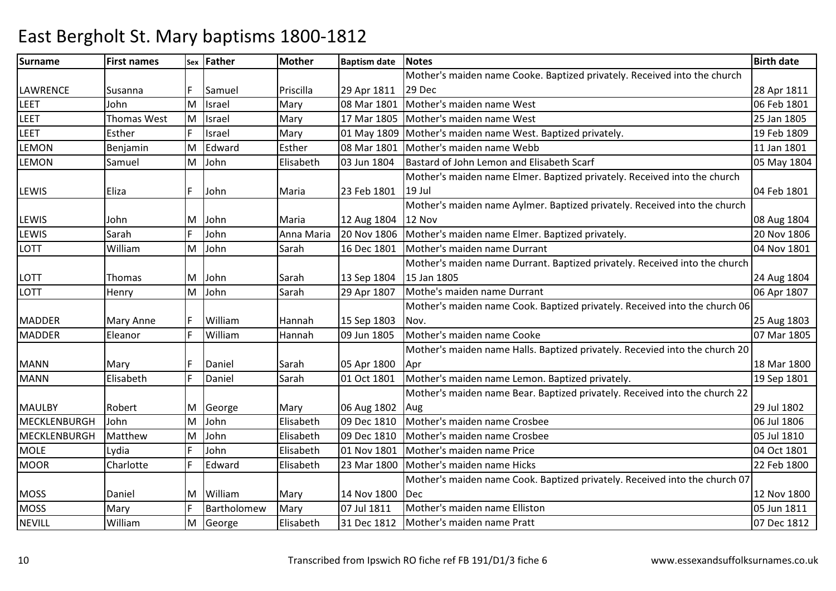#### Surnamee First names Sex Father Mother Baptism date Notes Birth date Birth date LAWRENCE Susanna F Samuel Priscilla 29 Apr 181108 Mar 1801 Mother's maiden name Cooke. Baptized privately. Received into the church 29 Dec 28 Apr 181106 Feb 1801 LEET JohnT<br>Thomas West M Israel Mary 08 Mar 1801 Mother's maiden name West 06 Feb 1801 LEETM Israel Mary 17 Mar 1805 Mother's maiden name West 25 Jan 1805 LEETT FRIST Esther The Israel Mary 1809 Mother's maiden name West. Baptized privately. 2019 Teb 1809 Mother's maiden name West. Baptized privately. **LEMON**  Benjamin MEdward Esther 08 Mar 1801 Mother's maiden name Webb 11 Jan 1801<br>
John Elisabeth 03 Jun 1804 Bastard of John Lemon and Elisabeth Scarf 05 May 1804 LEMON Samuel MM |John | Elisabeth | 03 Jun 1804 | Bastard of John Lemon and Elisabeth Scarf | 05 May 1804<br>Mother's maiden name Elmer. Baptized privately. Received into the church | Nav 1804 LEWIS Eliza F John Maria 23 Feb 180119 Jul 04 Feb 1801LEWIS John M John Maria 12 Aug 180420 Nov 1806 Mother's maiden name Aylmer. Baptized privately. Received into the church 12 Nov 08 Aug 180420 Nov 1806 LEWIS SarahF John Maria 20 Nov 1806 Mother's maiden name Elmer. Baptized privately.<br>
John Sarah 16 Dec 1801 Mother's maiden name Durrant LOTT WilliamMM John Sarah 16 Dec 1801 Mother's maiden name Durrant 104 Nov 1801<br>Mother's maiden name Durrant. Baptized privately. Received into the church LOTT | Thomas | M John | Sarah | 13 Sep 1804 29 Apr 1807 15 Jan 180515 Jan 1805 (24 Aug 1804)<br>Mothe's maiden name Durrant (2008) (24 Aug 1804) 06 Apr 1807 LOTT**Henry** M John Sarah 29 Apr 1807 Mothe's maiden name Durrant 06 Apr 1807 Mother's maiden name Cook. Baptized privately. Received into the church 06MADDER Mary Anne F William Hannah 15 Sep 180309 Jun 1805 Nov. 25 Aug 180307 Mar 1805 MADDER Eleanor <sup>F</sup> Williamm 1805 Mother's maiden name Cooke<br>Mother's maiden name Halls. Baptized privately. Recevied into the church 20 MANN Mary F Daniel Sarah 05 Apr 180001 Oct 1801 Aprr 18 Mar 1800 **18 Mar 1800** 19 Sep 1801 MANNElisabeth F Daniel Sarah 101 Oct 1801 Mother's maiden name Lemon. Baptized privately. MAULBY Robert M George Mary 06 Aug 180209 Dec 1810 Mother's maiden name Bear. Baptized privately. Received into the church 22 Aug 29 Jul 180206 Jul 1806 MECKLENBURGH John M John Elisabeth 09 Dec 1810 Mother's maiden name Crosbee 06 Jul 1806 MECKLENBURGHMatthew<br>Lydia MJohn 1999 Dec 1810 Mother's maiden name Crosbee 1994 Dec 1810 Dec 1810 Dec 1810<br>John Elisabeth 01 Nov 1801 Mother's maiden name Price 1999 Dec 1801 MOLE Lydia <sup>F</sup> John**Mother's maiden name Price MOOR** Charlotte | F Edward | Elisabeth | 23 Mar 1800 | Mother's maiden name Hicks | 22 Feb 1800 | 22 Feb 1800 MOSS |Daniel |M |William |Mary |14 Nov 1800 |Dec Mother's maiden name Cook. Baptized privately. Received into the church 07c 12 Nov 1800 05 Jun 1811 **MOSS** Mary | F Bartholomew Mary 107 Jul 1811 Mother's maiden name Elliston<br>
Elisabeth 31 Dec 1812 Mother's maiden name Pratt 1988 and 1812 NEVILL WilliamM George George Elisabeth 31 Dec 1812 Mother's maiden name Pratt 07 Dec 1812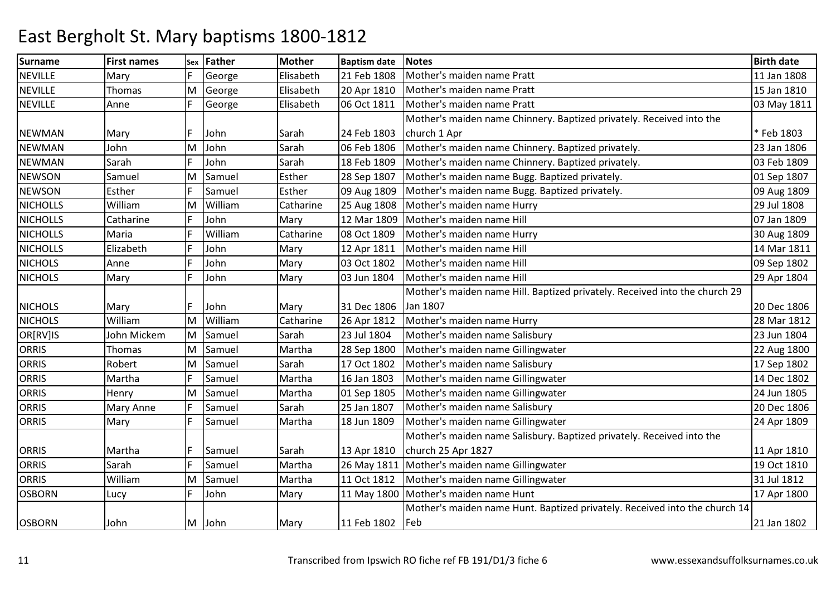| <b>Surname</b>  | <b>First names</b> | Sex | <b>Father</b> | <b>Mother</b> | <b>Baptism date</b> | <b>Notes</b>                                                               | <b>Birth date</b> |
|-----------------|--------------------|-----|---------------|---------------|---------------------|----------------------------------------------------------------------------|-------------------|
| <b>NEVILLE</b>  | Mary               | F.  | George        | Elisabeth     | 21 Feb 1808         | Mother's maiden name Pratt                                                 | 11 Jan 1808       |
| <b>NEVILLE</b>  | Thomas             | M   | George        | Elisabeth     | 20 Apr 1810         | Mother's maiden name Pratt                                                 | 15 Jan 1810       |
| <b>NEVILLE</b>  | Anne               | F.  | George        | Elisabeth     | 06 Oct 1811         | Mother's maiden name Pratt                                                 | 03 May 1811       |
|                 |                    |     |               |               |                     | Mother's maiden name Chinnery. Baptized privately. Received into the       |                   |
| <b>NEWMAN</b>   | Mary               | F   | John          | Sarah         | 24 Feb 1803         | church 1 Apr                                                               | * Feb 1803        |
| <b>NEWMAN</b>   | John               | M   | John          | Sarah         | 06 Feb 1806         | Mother's maiden name Chinnery. Baptized privately.                         | 23 Jan 1806       |
| <b>NEWMAN</b>   | Sarah              | F   | John          | Sarah         | 18 Feb 1809         | Mother's maiden name Chinnery. Baptized privately.                         | 03 Feb 1809       |
| <b>NEWSON</b>   | Samuel             | M   | Samuel        | Esther        | 28 Sep 1807         | Mother's maiden name Bugg. Baptized privately.                             | 01 Sep 1807       |
| <b>NEWSON</b>   | Esther             | F.  | Samuel        | Esther        | 09 Aug 1809         | Mother's maiden name Bugg. Baptized privately.                             | 09 Aug 1809       |
| <b>NICHOLLS</b> | William            | M   | William       | Catharine     | 25 Aug 1808         | Mother's maiden name Hurry                                                 | 29 Jul 1808       |
| <b>NICHOLLS</b> | Catharine          | F   | John          | Mary          | 12 Mar 1809         | Mother's maiden name Hill                                                  | 07 Jan 1809       |
| <b>NICHOLLS</b> | Maria              | F   | William       | Catharine     | 08 Oct 1809         | Mother's maiden name Hurry                                                 | 30 Aug 1809       |
| <b>NICHOLLS</b> | Elizabeth          | F   | John          | Mary          | 12 Apr 1811         | Mother's maiden name Hill                                                  | 14 Mar 1811       |
| <b>NICHOLS</b>  | Anne               | F   | John          | Mary          | 03 Oct 1802         | Mother's maiden name Hill                                                  | 09 Sep 1802       |
| <b>NICHOLS</b>  | Mary               | F.  | John          | Mary          | 03 Jun 1804         | Mother's maiden name Hill                                                  | 29 Apr 1804       |
|                 |                    |     |               |               |                     | Mother's maiden name Hill. Baptized privately. Received into the church 29 |                   |
| <b>NICHOLS</b>  | Mary               | F   | John          | Mary          | 31 Dec 1806         | Jan 1807                                                                   | 20 Dec 1806       |
| <b>NICHOLS</b>  | William            | M   | William       | Catharine     | 26 Apr 1812         | Mother's maiden name Hurry                                                 | 28 Mar 1812       |
| OR[RV]IS        | John Mickem        | M   | Samuel        | Sarah         | 23 Jul 1804         | Mother's maiden name Salisbury                                             | 23 Jun 1804       |
| <b>ORRIS</b>    | Thomas             | M   | Samuel        | Martha        | 28 Sep 1800         | Mother's maiden name Gillingwater                                          | 22 Aug 1800       |
| <b>ORRIS</b>    | Robert             | M   | Samuel        | Sarah         | 17 Oct 1802         | Mother's maiden name Salisbury                                             | 17 Sep 1802       |
| ORRIS           | Martha             | F   | Samuel        | Martha        | 16 Jan 1803         | Mother's maiden name Gillingwater                                          | 14 Dec 1802       |
| <b>ORRIS</b>    | Henry              | M   | Samuel        | Martha        | 01 Sep 1805         | Mother's maiden name Gillingwater                                          | 24 Jun 1805       |
| <b>ORRIS</b>    | Mary Anne          | F   | Samuel        | Sarah         | 25 Jan 1807         | Mother's maiden name Salisbury                                             | 20 Dec 1806       |
| <b>ORRIS</b>    | Mary               | F.  | Samuel        | Martha        | 18 Jun 1809         | Mother's maiden name Gillingwater                                          | 24 Apr 1809       |
|                 |                    |     |               |               |                     | Mother's maiden name Salisbury. Baptized privately. Received into the      |                   |
| <b>ORRIS</b>    | Martha             | F   | Samuel        | Sarah         | 13 Apr 1810         | church 25 Apr 1827                                                         | 11 Apr 1810       |
| <b>ORRIS</b>    | Sarah              | E   | Samuel        | Martha        |                     | 26 May 1811   Mother's maiden name Gillingwater                            | 19 Oct 1810       |
| <b>ORRIS</b>    | William            | M   | Samuel        | Martha        | 11 Oct 1812         | Mother's maiden name Gillingwater                                          | 31 Jul 1812       |
| <b>OSBORN</b>   | Lucy               | F   | John          | Mary          |                     | 11 May 1800 Mother's maiden name Hunt                                      | 17 Apr 1800       |
|                 |                    |     |               |               |                     | Mother's maiden name Hunt. Baptized privately. Received into the church 14 |                   |
| <b>OSBORN</b>   | John               |     | M John        | Mary          | 11 Feb 1802         | <b> Feb</b>                                                                | 21 Jan 1802       |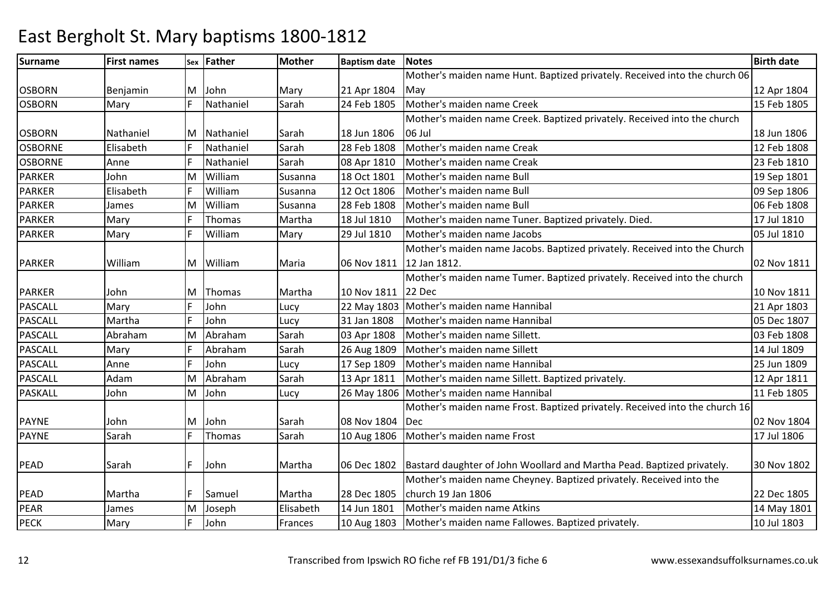#### Surnamee First names Sex Father Mother Baptism date Notes Birth date Birth date OSBORN Benjamin M John Mary 21 Apr 180424 Feb 1805 Mother's maiden name Hunt. Baptized privately. Received into the church 06 Mayy 12 Apr 1804 15 Feb 1805 **OSBORN** N Mary F Nathaniel Sarah 24 Feb 1805 Mother's maiden name Creek 15 Feb 1805 OSBORN Nathaniel M Nathaniel Sarah 18 Jun 180628 Feb 1808 Mother's maiden name Creek. Baptized privately. Received into the church 06 Jul18 Jun 1806 – 1990 – 1991 – 1991 – 1992 – 1993 – 1994 – 1994 – 1995 – 1996 – 1996 – 1997 – 1998 – 1999 – 1999 12 Feb 1808 **OSBORNE**  ElisabethRathaniel Sarah 28 Feb 1808 Mother's maiden name Creak 12 Feb 1808<br>Nathaniel Sarah 08 Apr 1810 Mother's maiden name Creak 23 Feb 1810 OSBORNE AnneNathaniel Sarah<br>William Susan 08 Apr 1810 Mother's maiden name Creak<br>18 Oct 1801 Mother's maiden name Bull PARKER John M William Susanna 18 Oct 1801 Mother's maiden name Bull 19 Sep 1801 PARKERElisabeth F William<br>James M William Susanna 12 Oct 1806 Mother's maiden name Bull 09 Sep 1806 PARKER James M William Susanna 28 Feb 1808 Mother's maiden name Bull 06 Feb 1808 PARKERR Mary F Thomas Martha 18 Jul 1810 Mother's maiden name Tuner. Baptized privately. Died. 17 Jul 1810 PARKERMary F William m Mary 29 Jul 1810 Mother's maiden name Jacobs<br>Mother's maiden name Jacobs. Baptized privately. Received into the Church PARKER William M William Maria 06 Nov 181112 Jan 1812. 02 Nov 1811PARKER John M Thomas Martha 10 Nov 181122 Decn 1992 Lucy 22 May 1803 Mother's maiden name Hannibal 21 Apr 1803 Mother's maiden name Tumer. Baptized privately. Received into the church 10 Nov 181121 Apr 1803 PASCALL MaryJohn PASCALL MarthaJohn Subhn Lucy 31 Jan 1808 Mother's maiden name Hannibal 1994 and 1807 1807<br>Abraham Sarah 03 Apr 1808 Mother's maiden name Sillett. PASCALL AbrahamM Abraham Sarah 03 Apr 1808 Mother's maiden name Sillett. 03 Feb 1808 PASCALL Mary**Abraham** Sarah 26 Aug 1809 Mother's maiden name Sillett 14 Jul 1809 14 Jul 1809<br>
Lucy 17 Sep 1809 Mother's maiden name Hannibal 14 Jul 1809 15 Jun 1809 PASCALL AnneJohn<br>Abraham Lucy 17 Sep 1809 Mother's maiden name Hannibal 1998 and 1809 125 Jun 1809<br>Sarah 13 Apr 1811 Mother's maiden name Sillett. Baptized privately. 1998 12 Apr 1811 PASCALL Adam JohnMAbraham Sarah 13 Apr 1811 Mother's maiden name Sillett. Baptized privately.<br>
John Lucy 26 May 1806 Mother's maiden name Hannibal 11 Feb 1805 PASKALLM John Lucy 26 May 1806 Mother's maiden name Hannibal 11 Feb 1805 Mother's maiden name Frost. Baptized privately. Received into the church 16 PAYNE John John John Sarah 108 Nov 1804 10 Aug 1806 Dec 02 Nov 180417 Jul 1806 PAYNE SarahThomas Sarah 10 Aug 1806 Mother's maiden name Frost 1 PEAD Sarah F John Martha 06 Dec 1802 Bastard daughter of John Woollard and Martha Pead. Baptized privately. 30 Nov 1802 PEAD Martha F Samuel Martha 28 Dec 1805church 19 Jan 180614 Jun 1801 Mother's maiden name Cheyney. Baptized privately. Received into the 22 Dec 180514 May 1801 PEAR James MJoseph 14 Elisabeth 14 Jun 1801 Mother's maiden name Atkins<br>John Frances 10 Aug 1803 Mother's maiden name Fallowes. Baptized privately. 15 10 Jul 1803 PECKMary F John Frances 10 Aug 1803 Mother's maiden name Fallowes. Baptized privately.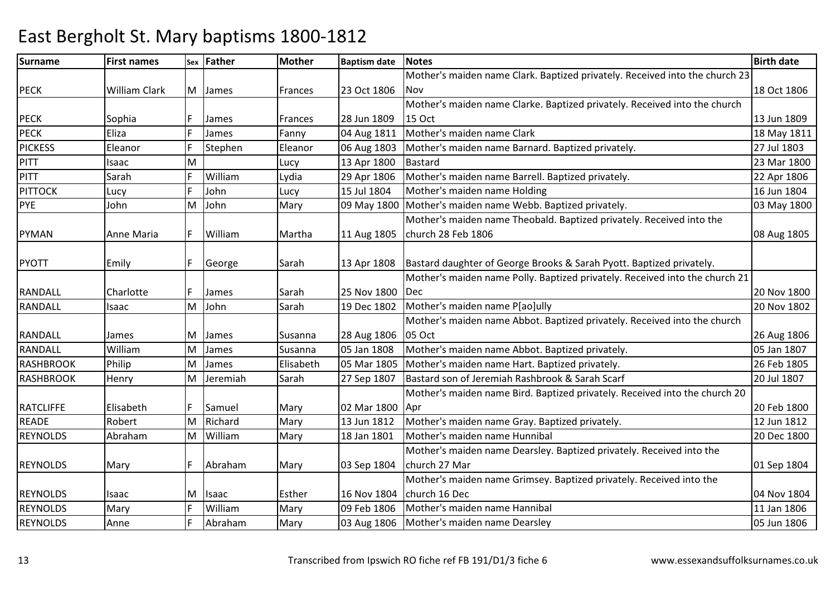### Surnamee First names Sex Father Mother Baptism date Notes Birth date Birth date PECK William Clark M James Frances 23 Oct 1806Mother's maiden name Clark. Baptized privately. Received into the church 23 **Nov** v 18 Oct 1806 PECK Sophia F James Frances 28 Jun 1809 K Fanny 1811 Mother's maiden name Clark 18 May 1811 Mother's maiden name Clark 18 May 1811 Mother's maiden name Clarke. Baptized privately. Received into the church 15 Oct 13 Jun 180918 May 1811 PECK**PICKESS** Eleanor **F** Stephen Eleanor 106 Aug 1803 Mother's maiden name Barnard. Baptized privately.<br>
Lucy 13 Apr 1800 Bastard 23 Mar 1800 PITT Isaac M Lucy 13 Apr 1800 Bastard 23 Mar 1800 PITT SarahWilliam<br>John m Lydia 29 Apr 1806 Mother's maiden name Barrell. Baptized privately. 22 Apr 1806<br>1981 - Ann Leon Lines, March and Lines and Lines and Lines and Lines and Lines and Lines and Lines and Lines **PITTOCK** Lucy 16 John 2015 Lucy 115 Jul 1804 Mother's maiden name Holding<br>John 1804 Mohn 1804 Dohn 1800 May 1800 Mother's maiden name Webb. Baptized privately. PYE JohnMJohn **Mary 1800** May 1800 Mother's maiden name Webb. Baptized privately. PYMAN Anne Maria | F William | Martha | 11 Aug 1805 Mother's maiden name Theobald. Baptized privately. Received into the church 28 Feb 1806 08 Aug 1805PYOTT F F George Sarah 13 Apr 1808 Bastard daughter of George Brooks & Sarah Pyott. Baptized privately. RANDALL Charlotte F James Sarah 25 Nov 1800Dec John Sarah 19 Dec 1802 Mother's maiden name P[ao]ully 20 Nov 1802 Mother's maiden name Polly. Baptized privately. Received into the church 21c 20 Nov 1800 20 Nov 1802 RANDALL Isaac MRANDALL James M James Susanna 28 Aug 180605 Oct05 Jan 1808 Mother's maiden name Abbot. Baptized privately. Received into the church 26 Aug 180605 Jan 1807 RANDALL WilliamK Philip MJames Susanna 105 Jan 1808 Mother's maiden name Abbot. Baptized privately.<br>James 1995 Susanna 1805 Mar 1805 Mother's maiden name Hart. Baptized privately. 1996 Susan 1807 Susanna 1807 **RASHBROOK** MJames 1992 Elisabeth 105 Mar 1805 Mother's maiden name Hart. Baptized privately.<br>1994 Jeremiah 1996 Sarah 27 Sep 1807 Bastard son of Jeremiah Rashbrook & Sarah Scarf 1996 20 Jul 1807 **RASHBROOK**  Henry M Jeremiah Sarah 27 Sep 1807 Bastard son of Jeremiah Rashbrook & Sarah Scarf 20 Jul 1807 Mother's maiden name Bird. Baptized privately. Received into the church 20 RATCLIFFE Elisabeth F Samuel Mary 02 Mar 1800Apr13 Jun 1812 r 120 Feb 1800 12 Jun 1812 READE Robert MRichard Mary 13 Jun 1812 Mother's maiden name Gray. Baptized privately. 12 Jun 1812<br>
William Mary 18 Jan 1801 Mother's maiden name Hunnibal 1900 20 Dec 1800 REYNOLDS AbrahamM William Mary 18 Jan 1801 Mother's maiden name Hunnibal 20 Dec 1800 Mother's maiden name Dearsley. Baptized privately. Received into the REYNOLDS Mary F Abraham Mary 03 Sep 1804 church 27 Mar 01 Sep 1804REYNOLDS Isaac M Isaac Esther 16 Nov 1804church 16 Dec09 Feb 1806 Mother's maiden name Grimsey. Baptized privately. Received into the 04 Nov 180411 Jan 1806 REYNOLDSMary **F** William Mary 199 Feb 1806 Mother's maiden name Hannibal 11 Jan 1806<br>Mary 11 Jan 1806 Mother's maiden name Dearslev 11 Jan 1806 REYNOLDS AnneAbraham Mother's maiden name Dearsley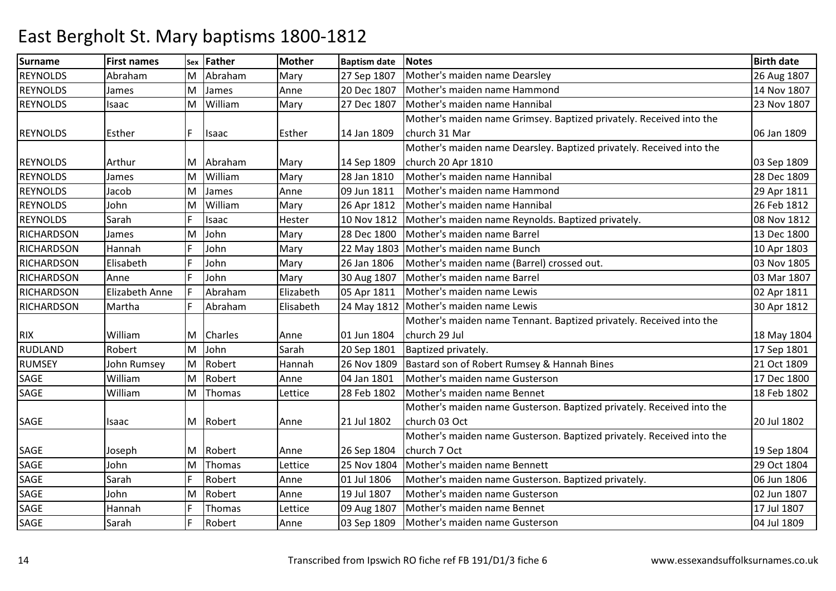| <b>Surname</b>    | <b>First names</b> | <b>Sex</b> | Father        | <b>Mother</b> | <b>Baptism date</b> | <b>Notes</b>                                                          | <b>Birth date</b> |
|-------------------|--------------------|------------|---------------|---------------|---------------------|-----------------------------------------------------------------------|-------------------|
| <b>REYNOLDS</b>   | Abraham            | M          | Abraham       | Mary          | 27 Sep 1807         | Mother's maiden name Dearsley                                         | 26 Aug 1807       |
| <b>REYNOLDS</b>   | James              | M          | James         | Anne          | 20 Dec 1807         | Mother's maiden name Hammond                                          | 14 Nov 1807       |
| <b>REYNOLDS</b>   | Isaac              | M          | William       | Mary          | 27 Dec 1807         | Mother's maiden name Hannibal                                         | 23 Nov 1807       |
|                   |                    |            |               |               |                     | Mother's maiden name Grimsey. Baptized privately. Received into the   |                   |
| <b>REYNOLDS</b>   | Esther             | F          | Isaac         | Esther        | 14 Jan 1809         | church 31 Mar                                                         | 06 Jan 1809       |
|                   |                    |            |               |               |                     | Mother's maiden name Dearsley. Baptized privately. Received into the  |                   |
| <b>REYNOLDS</b>   | Arthur             | ΙM         | Abraham       | Mary          | 14 Sep 1809         | church 20 Apr 1810                                                    | 03 Sep 1809       |
| <b>REYNOLDS</b>   | James              | M          | William       | Mary          | 28 Jan 1810         | Mother's maiden name Hannibal                                         | 28 Dec 1809       |
| <b>REYNOLDS</b>   | Jacob              | M          | James         | Anne          | 09 Jun 1811         | Mother's maiden name Hammond                                          | 29 Apr 1811       |
| <b>REYNOLDS</b>   | John               | M          | William       | Mary          | 26 Apr 1812         | Mother's maiden name Hannibal                                         | 26 Feb 1812       |
| <b>REYNOLDS</b>   | Sarah              |            | Isaac         | Hester        | 10 Nov 1812         | Mother's maiden name Reynolds. Baptized privately.                    | 08 Nov 1812       |
| <b>RICHARDSON</b> | James              | M          | John          | Mary          | 28 Dec 1800         | Mother's maiden name Barrel                                           | 13 Dec 1800       |
| <b>RICHARDSON</b> | Hannah             | F          | John          | Mary          | 22 May 1803         | Mother's maiden name Bunch                                            | 10 Apr 1803       |
| <b>RICHARDSON</b> | Elisabeth          | F          | John          | Mary          | 26 Jan 1806         | Mother's maiden name (Barrel) crossed out.                            | 03 Nov 1805       |
| <b>RICHARDSON</b> | Anne               | F          | John          | Mary          | 30 Aug 1807         | Mother's maiden name Barrel                                           | 03 Mar 1807       |
| <b>RICHARDSON</b> | Elizabeth Anne     | F          | Abraham       | Elizabeth     | 05 Apr 1811         | Mother's maiden name Lewis                                            | 02 Apr 1811       |
| <b>RICHARDSON</b> | Martha             | F          | Abraham       | Elisabeth     | 24 May 1812         | Mother's maiden name Lewis                                            | 30 Apr 1812       |
|                   |                    |            |               |               |                     | Mother's maiden name Tennant. Baptized privately. Received into the   |                   |
| <b>RIX</b>        | William            | M          | Charles       | Anne          | 01 Jun 1804         | church 29 Jul                                                         | 18 May 1804       |
| <b>RUDLAND</b>    | Robert             | M          | John          | Sarah         | 20 Sep 1801         | Baptized privately.                                                   | 17 Sep 1801       |
| <b>RUMSEY</b>     | John Rumsey        | M          | Robert        | Hannah        | 26 Nov 1809         | Bastard son of Robert Rumsey & Hannah Bines                           | 21 Oct 1809       |
| SAGE              | William            | lм         | Robert        | Anne          | 04 Jan 1801         | Mother's maiden name Gusterson                                        | 17 Dec 1800       |
| SAGE              | William            | M          | Thomas        | Lettice       | 28 Feb 1802         | Mother's maiden name Bennet                                           | 18 Feb 1802       |
|                   |                    |            |               |               |                     | Mother's maiden name Gusterson. Baptized privately. Received into the |                   |
| SAGE              | Isaac              |            | M Robert      | Anne          | 21 Jul 1802         | church 03 Oct                                                         | 20 Jul 1802       |
|                   |                    |            |               |               |                     | Mother's maiden name Gusterson. Baptized privately. Received into the |                   |
| SAGE              | Joseph             | IM.        | Robert        | Anne          | 26 Sep 1804         | church 7 Oct                                                          | 19 Sep 1804       |
| SAGE              | John               | M          | Thomas        | Lettice       | 25 Nov 1804         | Mother's maiden name Bennett                                          | 29 Oct 1804       |
| SAGE              | Sarah              | F          | Robert        | Anne          | 01 Jul 1806         | Mother's maiden name Gusterson. Baptized privately.                   | 06 Jun 1806       |
| SAGE              | John               | M          | Robert        | Anne          | 19 Jul 1807         | Mother's maiden name Gusterson                                        | 02 Jun 1807       |
| <b>SAGE</b>       | Hannah             |            | <b>Thomas</b> | Lettice       | 09 Aug 1807         | Mother's maiden name Bennet                                           | 17 Jul 1807       |
| SAGE              | Sarah              |            | Robert        | Anne          | 03 Sep 1809         | Mother's maiden name Gusterson                                        | 04 Jul 1809       |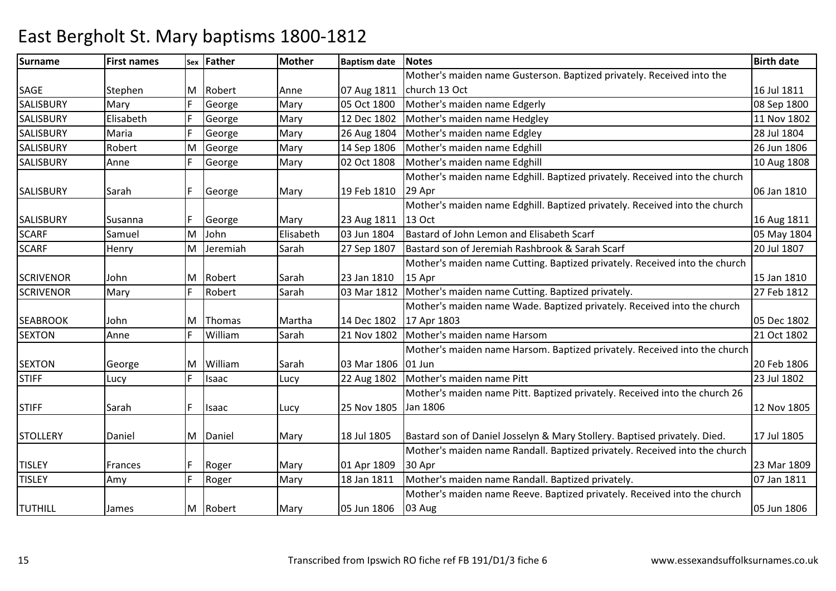### Surnamee First names Sex Father Mother Baptism date Notes Birth date Birth date SAGE Stephen M Robert Anne 07 Aug 1811 e Mary 05 Oct 1800 Mother's maiden name Gusterson. Baptized privately. Received into the church 13 Oct 16 Jul 181108 Sep 1800 **SALISBURY** Mary F George 05 Oct 1800 Mother's maiden name Edgerly<br>12 Dec 1802 Mother's maiden name Hedgley SALISBURY ElisabethGeorge 1988 Mary 12 Dec 1802 Mother's maiden name Hedgley 1988 March 11 Nov 1802<br>George Mary 26 Aug 1804 Mother's maiden name Edgley 1989 128 Jul 1804 **SALISBURY** Maria F George e 1983 Mary 26 Aug 1804 Mother's maiden name Edgley 28 Jul 1804 **SALISBURY**  Robert MGeorge Mary 14 Sep 1806 Mother's maiden name Edghill 10 Nuevo 26 Jun 1806<br>George Mary 02 Oct 1808 Mother's maiden name Edghill 10 Aug 1808 **SALISBURY**  Anne02 Oct 1808 Mother's maiden name Edghill SALISBURY Sarah F George Mary 19 Feb 181029 AprMother's maiden name Edghill. Baptized privately. Received into the church n 1810 | 06 Jan 1810 | 06 Jan 1810 | 06 Jan 1810 | 06 Jan 1810 | 06 Jan 1810 | 06 Jan 1810 | 06 Jan 1810 | 06 Jan 1810 SALISBURY Susanna F George Mary 23 Aug 181103 Jun 1804 Mother's maiden name Edghill. Baptized privately. Received into the church 13 Oct 16 Aug 181105 May 1804 **SCARF**  Samuel MJohn 1995 Elisabeth 103 Jun 1804 Bastard of John Lemon and Elisabeth Scarf 1996 105 May 1807<br>Jeremiah Sarah 27 Sep 1807 Bastard son of Jeremiah Rashbrook & Sarah Scarf 20 Jul 1807 SCARF**Henry** MBastard son of Jeremiah Rashbrook & Sarah Scarf SCRIVENOR John M Robert Sarah 23 Jan 1810R Mary FRobert Sarah 03 Mar 1812 Mother's maiden name Cutting. Baptized privately. 27 Feb 1812 Mother's maiden name Cutting. Baptized privately. Received into the church 15 Apr r 15 Jan 1810 27 Feb 1812 **SCRIVENOR** SEABROOK John M Thomas Martha 14 Dec 180217 Apr 1803m Sarah 21 Nov 1802 Mother's maiden name Harsom 21 Oct 1802 Mother's maiden name Wade. Baptized privately. Received into the church 05 Dec 180221 Oct 1802 **SEXTON** N Anne F William SEXTON George M William Sarah 03 Mar 180601 JunF Lucy F Isaac Lucy 22 Aug 1802 Mother's maiden name Harsom. Baptized privately. Received into the church 20 Feb 180623 Jul 1802 STIFFMother's maiden name Pitt STIFF Sarah F Isaac Lucy 25 Nov 1805Jan 1806Mother's maiden name Pitt. Baptized privately. Received into the church 26 6 12 Nov 1805 STOLLERY Daniel M Daniel Mary 18 Jul 1805 Bastard son of Daniel Josselyn & Mary Stollery. Baptised privately. Died. 17 Jul 1805 TISLEY Frances F Roger Mary 01 Apr 180918 Jan 1811 Mother's maiden name Randall. Baptized privately. Received into the church 30 Apr 23 Mar 180907 Jan 1811 TISLEYY Mary Roger Mary 18 Jan 1811 Mother's maiden name Randall. Baptized privately. TUTHILL James M Robert Mary 05 Jun 1806Mother's maiden name Reeve. Baptized privately. Received into the church 03 Aug05 Jun 1806